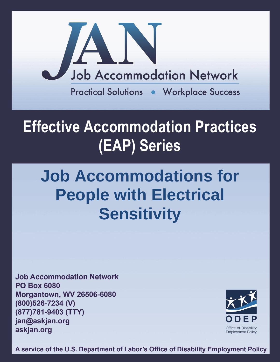

## **Effective Accommodation Practices (EAP) Series**

# **Job Accommodations for People with Electrical Sensitivity**

**Job Accommodation Network PO Box 6080 Morgantown, WV 26506-6080** (800)526-7234 (V) (877)781-9403 (TTY) jan@askjan.org askjan.org



A service of the U.S. Department of Labor's Office of Disability Employment Policy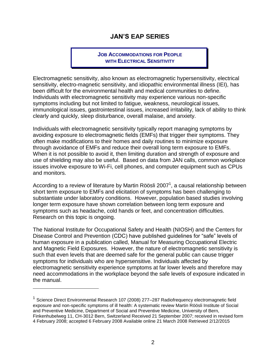## **JAN'S EAP SERIES**

### **JOB ACCOMMODATIONS FOR PEOPLE WITH ELECTRICAL SENSITIVITY**

Electromagnetic sensitivity, also known as electromagnetic hypersensitivity, electrical sensitivity, electro-magnetic sensitivity, and idiopathic environmental illness (IEI), has been difficult for the environmental health and medical communities to define. Individuals with electromagnetic sensitivity may experience various non-specific symptoms including but not limited to fatigue, weakness, neurological issues, immunological issues, gastrointestinal issues, increased irritability, lack of ability to think clearly and quickly, sleep disturbance, overall malaise, and anxiety.

Individuals with electromagnetic sensitivity typically report managing symptoms by avoiding exposure to electromagnetic fields (EMFs) that trigger their symptoms. They often make modifications to their homes and daily routines to minimize exposure through avoidance of EMFs and reduce their overall long term exposure to EMFs. When it is not possible to avoid it, then limiting duration and strength of exposure and use of shielding may also be useful. Based on data from JAN calls, common workplace issues involve exposure to Wi-Fi, cell phones, and computer equipment such as CPUs and monitors.

According to a review of literature by Martin Röösli 2007<sup>1</sup>, a causal relationship between short term exposure to EMFs and elicitation of symptoms has been challenging to substantiate under laboratory conditions. However, population based studies involving longer term exposure have shown correlation between long term exposure and symptoms such as headache, cold hands or feet, and concentration difficulties. Research on this topic is ongoing.

The National Institute for Occupational Safety and Health (NIOSH) and the Centers for Disease Control and Prevention (CDC) have published guidelines for "safe" levels of human exposure in a publication called, [Manual for Measuring Occupational Electric](http://www.cdc.gov/niosh/docs/98-154/pdfs/98-154.pdf)  [and Magnetic Field Exposures.](http://www.cdc.gov/niosh/docs/98-154/pdfs/98-154.pdf) However, the nature of electromagnetic sensitivity is such that even levels that are deemed safe for the general public can cause trigger symptoms for individuals who are hypersensitive. Individuals affected by electromagnetic sensitivity experience symptoms at far lower levels and therefore may need accommodations in the workplace beyond the safe levels of exposure indicated in the manual.

 $\overline{a}$ 

<sup>&</sup>lt;sup>1</sup> Science Direct Environmental Research 107 (2008) 277–287 Radiofrequency electromagnetic field exposure and non-specific symptoms of ill health: A systematic review Martin Röösli Institute of Social and Preventive Medicine, Department of Social and Preventive Medicine, University of Bern, Finkenhubelweg 11, CH-3012 Bern, Switzerland Received 21 September 2007; received in revised form 4 February 2008; accepted 6 February 2008 Available online 21 March 2008 Retrieved 2/12/2015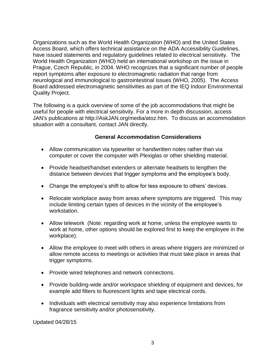Organizations such as the World Health Organization (WHO) and the United States Access Board, which offers technical assistance on the ADA Accessibility Guidelines, have issued statements and regulatory guidelines related to electrical sensitivity. The World Health Organization (WHO) held an international workshop on the issue in Prague, Czech Republic, in 2004. WHO recognizes that a significant number of people report symptoms after exposure to electromagnetic radiation that range from neurological and immunological to gastrointestinal issues (WHO, 2005). The Access Board addressed electromagnetic sensitivities as part of the [IEQ Indoor Environmental](http://www.access-board.gov/research/completed-research/indoor-environmental-quality)  [Quality Project.](http://www.access-board.gov/research/completed-research/indoor-environmental-quality)

The following is a quick overview of some of the job accommodations that might be useful for people with electrical sensitivity. For a more in depth discussion, access JAN's publications at http://AskJAN.org/media/atoz.htm. To discuss an accommodation situation with a consultant, contact JAN directly.

### **General Accommodation Considerations**

- Allow communication via typewriter or handwritten notes rather than via computer or cover the computer with Plexiglas or other shielding material.
- Provide headset/handset extenders or alternate headsets to lengthen the distance between devices that trigger symptoms and the employee's body.
- Change the employee's shift to allow for less exposure to others' devices.
- Relocate workplace away from areas where symptoms are triggered. This may include limiting certain types of devices in the vicinity of the employee's workstation.
- Allow telework (Note: regarding work at home, unless the employee wants to work at home, other options should be explored first to keep the employee in the workplace).
- Allow the employee to meet with others in areas where triggers are minimized or allow remote access to meetings or activities that must take place in areas that trigger symptoms.
- Provide wired telephones and network connections.
- Provide building-wide and/or workspace shielding of equipment and devices, for example add filters to fluorescent lights and tape electrical cords.
- Individuals with electrical sensitivity may also experience limitations from fragrance sensitivity and/or photosensitivity.

Updated 04/28/15